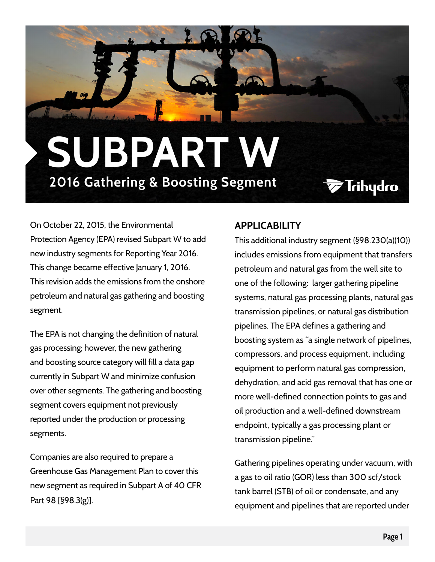## **2016 Gathering & Boosting Segment SUBPART W**

**Trihydro** 

On October 22, 2015, the Environmental Protection Agency (EPA) revised Subpart W to add new industry segments for Reporting Year 2016. This change became effective January 1, 2016. This revision adds the emissions from the onshore petroleum and natural gas gathering and boosting segment.

The EPA is not changing the definition of natural gas processing; however, the new gathering and boosting source category will fill a data gap currently in Subpart W and minimize confusion over other segments. The gathering and boosting segment covers equipment not previously reported under the production or processing segments.

Companies are also required to prepare a Greenhouse Gas Management Plan to cover this new segment as required in Subpart A of 40 CFR Part 98 [§98.3(g)].

## **APPLICABILITY**

This additional industry segment (§98.230(a)(10)) includes emissions from equipment that transfers petroleum and natural gas from the well site to one of the following: larger gathering pipeline systems, natural gas processing plants, natural gas transmission pipelines, or natural gas distribution pipelines. The EPA defines a gathering and boosting system as "a single network of pipelines, compressors, and process equipment, including equipment to perform natural gas compression, dehydration, and acid gas removal that has one or more well-defined connection points to gas and oil production and a well-defined downstream endpoint, typically a gas processing plant or transmission pipeline."

Gathering pipelines operating under vacuum, with a gas to oil ratio (GOR) less than 300 scf/stock tank barrel (STB) of oil or condensate, and any equipment and pipelines that are reported under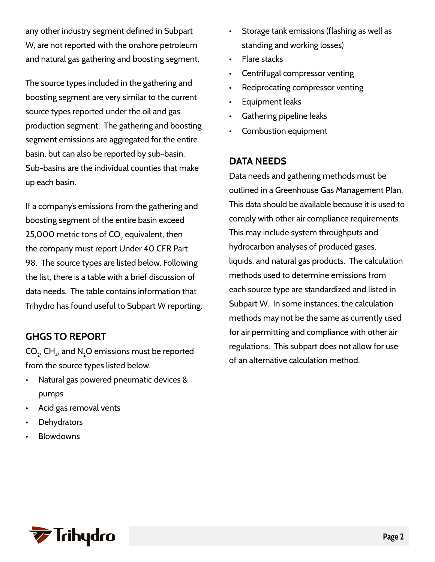any other industry segment defined in Subpart W, are not reported with the onshore petroleum and natural gas gathering and boosting segment.

The source types included in the gathering and boosting segment are very similar to the current source types reported under the oil and gas production segment. The gathering and boosting segment emissions are aggregated for the entire basin, but can also be reported by sub-basin. Sub-basins are the individual counties that make up each basin.

If a company's emissions from the gathering and boosting segment of the entire basin exceed 25,000 metric tons of CO $_{\textrm{\tiny{2}}}$  equivalent, then the company must report Under 40 CFR Part 98. The source types are listed below. Following the list, there is a table with a brief discussion of data needs. The table contains information that Trihydro has found useful to Subpart W reporting.

## **GHGS TO REPORT**

CO $_{\textrm{\tiny{2}}}$ , CH $_{\textrm{\tiny{4}}}$ , and N $_{\textrm{\tiny{2}}}$ O emissions must be reported from the source types listed below.

- Natural gas powered pneumatic devices & pumps
- Acid gas removal vents
- **Dehydrators**
- **Blowdowns**
- Storage tank emissions (flashing as well as standing and working losses)
- Flare stacks
- Centrifugal compressor venting
- Reciprocating compressor venting
- Equipment leaks
- Gathering pipeline leaks
- Combustion equipment

## **DATA NEEDS**

Data needs and gathering methods must be outlined in a Greenhouse Gas Management Plan. This data should be available because it is used to comply with other air compliance requirements. This may include system throughputs and hydrocarbon analyses of produced gases, liquids, and natural gas products. The calculation methods used to determine emissions from each source type are standardized and listed in Subpart W. In some instances, the calculation methods may not be the same as currently used for air permitting and compliance with other air regulations. This subpart does not allow for use of an alternative calculation method.